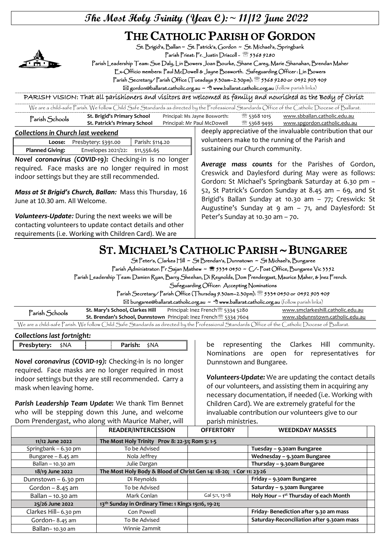## **The Most Holy Trinity (Year C):~ 11/12 June 2022**

## THE CATHOLIC PARISH OF GORDON



St. Brigid's, Ballan ~ St. Patrick's, Gordon ~ St. Michael's, Springbank

Parish Priest: Fr. Justin Driscoll - 2 5368 9280

Parish Leadership Team: Sue Daly, Lin Bowers Joan Bourke, Shane Carey, Marie Shanahan, Brendan Maher

Ex-Officio members: Paul McDowell & Jayne Bosworth. Safeguarding Officer : Lin Bowers

Parish Secretary/ Parish Office (Tuesdays 9.30am–2.30pm): 5368 9280 or 0492 903 409

 $\boxtimes$  gordon@ballarat.catholic.org.au ~  $\textcircled{t}$  www.ballarat.catholic.org.au (follow parish links)

PARISH VISION: That all parishioners and visitors are welcomed as family and nourished as the Body of Christ

| We are a child-safe Parish. We follow Child Safe Standards as directed by the Professional Standards Office of the Catholic Diocese of Ballarat. |                              |                               |                |                              |
|--------------------------------------------------------------------------------------------------------------------------------------------------|------------------------------|-------------------------------|----------------|------------------------------|
| Parish Schools                                                                                                                                   | St. Brigid's Primary School  | Principal: Ms Jayne Bosworth: | ® 5368 1015    | www.sbballan.catholic.edu.au |
|                                                                                                                                                  | St. Patrick's Primary School | Principal: Mr Paul McDowell   | ‴্রি 5368 9495 | www.spgordon.catholic.edu.au |

*Collections in Church last weekend* 

|                        | Loose: Presbytery: \$391.00    | Parish: \$114.20 |
|------------------------|--------------------------------|------------------|
| <b>Planned Giving:</b> | Envelopes 2021/22: \$11,556.65 |                  |
|                        |                                |                  |

*Novel coronavirus (COVID-19):* Checking-in is no longer required. Face masks are no longer required in most indoor settings but they are still recommended.

*Mass at St Brigid's Church, Ballan:* Mass this Thursday, 16 June at 10.30 am. All Welcome.

*Volunteers-Update:* During the next weeks we will be contacting volunteers to update contact details and other requirements (i.e. Working with Children Card). We are

deeply appreciative of the invaluable contribution that our volunteers make to the running of the Parish and sustaining our Church community.

*Average mass counts* for the Parishes of Gordon, Creswick and Daylesford during May were as follows: Gordon: St Michael's Springbank Saturday at 6.30 pm – 52, St Patrick's Gordon Sunday at 8.45 am – 69, and St Brigid's Ballan Sunday at 10.30 am – 77; Creswick: St Augustine's Sunday at  $9$  am  $-$  71, and Daylesford: St Peter's Sunday at 10.30 am – 70.

## ST. MICHAEL'S CATHOLIC PARISH ~ BUNGAREE

St Peter's, Clarkes Hill ~ St Brendan's, Dunnstown ~ St Michael's, Bungaree

Parish Administrator: Fr Sajan Mathew ~ <sup>8</sup> 5334 0450 ~ C/-Post Office, Bungaree Vic 3352

Parish Leadership Team: Damien Ryan, Barry Sheehan, Di Reynolds, Dom Prendergast, Maurice Maher, & Inez French.

Safeguarding Officer: Accepting Nominations

Parish Secretary/ Parish Office (Thursday 9.30am–2.30pm): 5334 0450 or 0492 903 409

 $\boxtimes$  bungaree@ballarat.catholic.org.au  $\sim$  <sup> $\oplus$ </sup> www.ballarat.catholic.org.au (follow parish links)

| Parish Schools | St. Mary's School, Clarkes Hill | Principal: Inez French <sup>3</sup> 5334 5280                                        | www.smclarkeshill.catholic.edu.au                                                                                                                |
|----------------|---------------------------------|--------------------------------------------------------------------------------------|--------------------------------------------------------------------------------------------------------------------------------------------------|
|                |                                 | <b>St. Brendan's School, Dunnstown</b> Principal: Inez French <sup>3</sup> 5334 7604 | www.sbdunnstown.catholic.edu.au                                                                                                                  |
|                |                                 |                                                                                      | We are a child-safe Parish. We follow Child Safe Standards as directed by the Professional Standards Office of the Catholic Diocese of Ballarat. |

| Collections last fortnight: |  |                     |  |  |
|-----------------------------|--|---------------------|--|--|
| <b>Presbytery:</b> \$NA     |  | <b>Parish:</b> \$NA |  |  |

*Novel coronavirus (COVID-19):* Checking-in is no longer required. Face masks are no longer required in most indoor settings but they are still recommended. Carry a mask when leaving home.

*Parish Leadership Team Update:* We thank Tim Bennet who will be stepping down this June, and welcome Dom Prendergast, who along with Maurice Maher, will

be representing the Clarkes Hill community. Nominations are open for representatives for Dunnstown and Bungaree.

*Volunteers-Update:* We are updating the contact details of our volunteers, and assisting them in acquiring any necessary documentation, if needed (i.e. Working with Children Card). We are extremely grateful for the invaluable contribution our volunteers give to our parish ministries.

|                      | <b>READER/INTERCESSION</b>                                          | <b>OFFERTORY</b> | <b>WEEDKDAY MASSES</b>                    |  |
|----------------------|---------------------------------------------------------------------|------------------|-------------------------------------------|--|
| 11/12 June 2022      | The Most Holy Trinity Prov 8: 22-31; Rom 5: 1-5                     |                  |                                           |  |
| Springbank – 6.30 pm | To be Advised                                                       |                  | Tuesday – 9.30am Bungaree                 |  |
| Bungaree $-8.45$ am  | Nola Jeffrey                                                        |                  | Wednesday - 9.30am Bungaree               |  |
| Ballan - 10.30 am    | Julie Dargan                                                        |                  | Thursday - 9.30am Bungaree                |  |
| 18/19 June 2022      | The Most Holy Body & Blood of Christ Gen 14: 18-20; 1 Cor 11: 23-26 |                  |                                           |  |
| Dunnstown - 6.30 pm  | Di Reynolds                                                         |                  | Friday - 9.30am Bungaree                  |  |
| Gordon $-8.45$ am    | To be Advised                                                       |                  | Saturday - 9.30am Bungaree                |  |
| Ballan - 10.30 am    | Mark Conlan                                                         | Gal 5:1, 13-18   | Holy Hour - 1st Thursday of each Month    |  |
| 25/26 June 2022      | 13th Sunday in Ordinary Time: 1 Kings 19:16, 19-21;                 |                  |                                           |  |
| Clarkes Hill-6.30 pm | Con Powell                                                          |                  | Friday-Benediction after 9.30 am mass     |  |
| Gordon-8.45 am       | To Be Advised                                                       |                  | Saturday-Reconciliation after 9.30am mass |  |
| Ballan-10.30 am      | Winnie Zammit                                                       |                  |                                           |  |